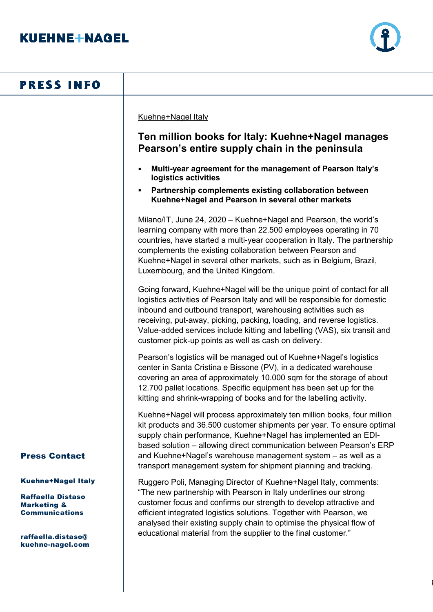

| <b>PRESS INFO</b>                                                                                                                                  |                                                                                                                                                                                                                                                                                                                                                                                                                                        |
|----------------------------------------------------------------------------------------------------------------------------------------------------|----------------------------------------------------------------------------------------------------------------------------------------------------------------------------------------------------------------------------------------------------------------------------------------------------------------------------------------------------------------------------------------------------------------------------------------|
|                                                                                                                                                    | Kuehne+Nagel Italy<br>Ten million books for Italy: Kuehne+Nagel manages<br>Pearson's entire supply chain in the peninsula                                                                                                                                                                                                                                                                                                              |
|                                                                                                                                                    | Multi-year agreement for the management of Pearson Italy's<br>logistics activities<br>Partnership complements existing collaboration between<br>Kuehne+Nagel and Pearson in several other markets                                                                                                                                                                                                                                      |
|                                                                                                                                                    | Milano/IT, June 24, 2020 - Kuehne+Nagel and Pearson, the world's<br>learning company with more than 22.500 employees operating in 70<br>countries, have started a multi-year cooperation in Italy. The partnership<br>complements the existing collaboration between Pearson and<br>Kuehne+Nagel in several other markets, such as in Belgium, Brazil,<br>Luxembourg, and the United Kingdom.                                          |
|                                                                                                                                                    | Going forward, Kuehne+Nagel will be the unique point of contact for all<br>logistics activities of Pearson Italy and will be responsible for domestic<br>inbound and outbound transport, warehousing activities such as<br>receiving, put-away, picking, packing, loading, and reverse logistics.<br>Value-added services include kitting and labelling (VAS), six transit and<br>customer pick-up points as well as cash on delivery. |
|                                                                                                                                                    | Pearson's logistics will be managed out of Kuehne+Nagel's logistics<br>center in Santa Cristina e Bissone (PV), in a dedicated warehouse<br>covering an area of approximately 10.000 sqm for the storage of about<br>12.700 pallet locations. Specific equipment has been set up for the<br>kitting and shrink-wrapping of books and for the labelling activity.                                                                       |
| <b>Press Contact</b>                                                                                                                               | Kuehne+Nagel will process approximately ten million books, four million<br>kit products and 36.500 customer shipments per year. To ensure optimal<br>supply chain performance, Kuehne+Nagel has implemented an EDI-<br>based solution - allowing direct communication between Pearson's ERP<br>and Kuehne+Nagel's warehouse management system - as well as a<br>transport management system for shipment planning and tracking.        |
| <b>Kuehne+Nagel Italy</b><br><b>Raffaella Distaso</b><br><b>Marketing &amp;</b><br><b>Communications</b><br>raffaella.distaso@<br>kuehne-nagel.com | Ruggero Poli, Managing Director of Kuehne+Nagel Italy, comments:<br>"The new partnership with Pearson in Italy underlines our strong<br>customer focus and confirms our strength to develop attractive and<br>efficient integrated logistics solutions. Together with Pearson, we<br>analysed their existing supply chain to optimise the physical flow of<br>educational material from the supplier to the final customer."           |
|                                                                                                                                                    |                                                                                                                                                                                                                                                                                                                                                                                                                                        |